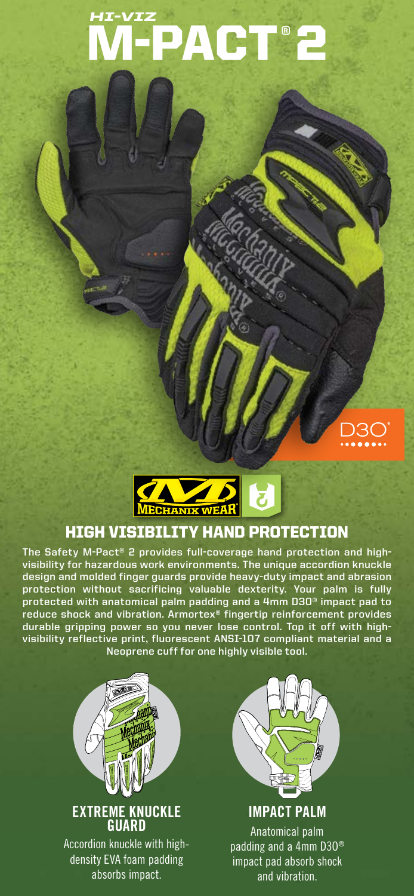# M-PACT® 2 *HI-VIZ*





## HIGH VISIBILITY HAND PROTECTION

**The Safety M-Pact® 2 provides full-coverage hand protection and highvisibility for hazardous work environments. The unique accordion knuckle design and molded finger guards provide heavy-duty impact and abrasion protection without sacrificing valuable dexterity. Your palm is fully protected with anatomical palm padding and a 4mm D3O® impact pad to reduce shock and vibration. Armortex® fingertip reinforcement provides durable gripping power so you never lose control. Top it off with highvisibility reflective print, fluorescent ANSI-107 compliant material and a Neoprene cuff for one highly visible tool.**



Accordion knuckle with highdensity EVA foam padding absorbs impact.



**IMPACT PALM** Anatomical palm padding and a 4mm D3O® impact pad absorb shock and vibration.